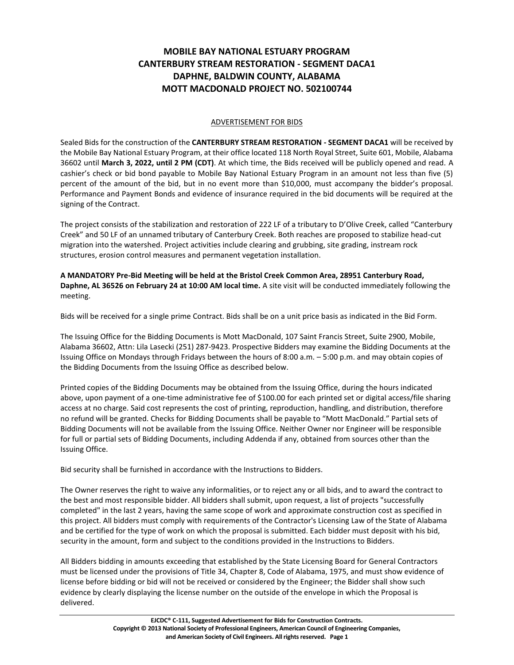## **MOBILE BAY NATIONAL ESTUARY PROGRAM CANTERBURY STREAM RESTORATION - SEGMENT DACA1 DAPHNE, BALDWIN COUNTY, ALABAMA MOTT MACDONALD PROJECT NO. 502100744**

## ADVERTISEMENT FOR BIDS

Sealed Bids for the construction of the **CANTERBURY STREAM RESTORATION - SEGMENT DACA1** will be received by the Mobile Bay National Estuary Program, at their office located 118 North Royal Street, Suite 601, Mobile, Alabama 36602 until **March 3, 2022, until 2 PM (CDT)**. At which time, the Bids received will be publicly opened and read. A cashier's check or bid bond payable to Mobile Bay National Estuary Program in an amount not less than five (5) percent of the amount of the bid, but in no event more than \$10,000, must accompany the bidder's proposal. Performance and Payment Bonds and evidence of insurance required in the bid documents will be required at the signing of the Contract.

The project consists of the stabilization and restoration of 222 LF of a tributary to D'Olive Creek, called "Canterbury Creek" and 50 LF of an unnamed tributary of Canterbury Creek. Both reaches are proposed to stabilize head-cut migration into the watershed. Project activities include clearing and grubbing, site grading, instream rock structures, erosion control measures and permanent vegetation installation.

**A MANDATORY Pre-Bid Meeting will be held at the Bristol Creek Common Area, 28951 Canterbury Road, Daphne, AL 36526 on February 24 at 10:00 AM local time.** A site visit will be conducted immediately following the meeting.

Bids will be received for a single prime Contract. Bids shall be on a unit price basis as indicated in the Bid Form.

The Issuing Office for the Bidding Documents is Mott MacDonald, 107 Saint Francis Street, Suite 2900, Mobile, Alabama 36602, Attn: Lila Lasecki (251) 287-9423. Prospective Bidders may examine the Bidding Documents at the Issuing Office on Mondays through Fridays between the hours of 8:00 a.m. – 5:00 p.m. and may obtain copies of the Bidding Documents from the Issuing Office as described below.

Printed copies of the Bidding Documents may be obtained from the Issuing Office, during the hours indicated above, upon payment of a one-time administrative fee of \$100.00 for each printed set or digital access/file sharing access at no charge. Said cost represents the cost of printing, reproduction, handling, and distribution, therefore no refund will be granted. Checks for Bidding Documents shall be payable to "Mott MacDonald." Partial sets of Bidding Documents will not be available from the Issuing Office. Neither Owner nor Engineer will be responsible for full or partial sets of Bidding Documents, including Addenda if any, obtained from sources other than the Issuing Office.

Bid security shall be furnished in accordance with the Instructions to Bidders.

The Owner reserves the right to waive any informalities, or to reject any or all bids, and to award the contract to the best and most responsible bidder. All bidders shall submit, upon request, a list of projects "successfully completed" in the last 2 years, having the same scope of work and approximate construction cost as specified in this project. All bidders must comply with requirements of the Contractor's Licensing Law of the State of Alabama and be certified for the type of work on which the proposal is submitted. Each bidder must deposit with his bid, security in the amount, form and subject to the conditions provided in the Instructions to Bidders.

All Bidders bidding in amounts exceeding that established by the State Licensing Board for General Contractors must be licensed under the provisions of Title 34, Chapter 8, Code of Alabama, 1975, and must show evidence of license before bidding or bid will not be received or considered by the Engineer; the Bidder shall show such evidence by clearly displaying the license number on the outside of the envelope in which the Proposal is delivered.